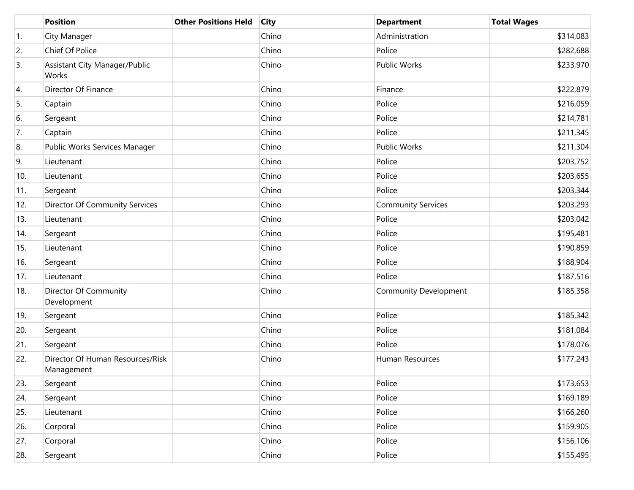|     | <b>Position</b>                                | <b>Other Positions Held</b> | <b>City</b> | <b>Department</b>            | <b>Total Wages</b> |
|-----|------------------------------------------------|-----------------------------|-------------|------------------------------|--------------------|
| 1.  | City Manager                                   |                             | Chino       | Administration               | \$314,083          |
| 2.  | Chief Of Police                                |                             | Chino       | Police                       | \$282,688          |
| 3.  | <b>Assistant City Manager/Public</b><br>Works  |                             | Chino       | <b>Public Works</b>          | \$233,970          |
| 4.  | Director Of Finance                            |                             | Chino       | Finance                      | \$222,879          |
| 5.  | Captain                                        |                             | Chino       | Police                       | \$216,059          |
| 6.  | Sergeant                                       |                             | Chino       | Police                       | \$214,781          |
| 7.  | Captain                                        |                             | Chino       | Police                       | \$211,345          |
| 8.  | Public Works Services Manager                  |                             | Chino       | <b>Public Works</b>          | \$211,304          |
| 9.  | Lieutenant                                     |                             | Chino       | Police                       | \$203,752          |
| 10. | Lieutenant                                     |                             | Chino       | Police                       | \$203,655          |
| 11. | Sergeant                                       |                             | Chino       | Police                       | \$203,344          |
| 12. | Director Of Community Services                 |                             | Chino       | <b>Community Services</b>    | \$203,293          |
| 13. | Lieutenant                                     |                             | Chino       | Police                       | \$203,042          |
| 14. | Sergeant                                       |                             | Chino       | Police                       | \$195,481          |
| 15. | Lieutenant                                     |                             | Chino       | Police                       | \$190,859          |
| 16. | Sergeant                                       |                             | Chino       | Police                       | \$188,904          |
| 17. | Lieutenant                                     |                             | Chino       | Police                       | \$187,516          |
| 18. | Director Of Community<br>Development           |                             | Chino       | <b>Community Development</b> | \$185,358          |
| 19. | Sergeant                                       |                             | Chino       | Police                       | \$185,342          |
| 20. | Sergeant                                       |                             | Chino       | Police                       | \$181,084          |
| 21. | Sergeant                                       |                             | Chino       | Police                       | \$178,076          |
| 22. | Director Of Human Resources/Risk<br>Management |                             | Chino       | Human Resources              | \$177,243          |
| 23. | Sergeant                                       |                             | Chino       | Police                       | \$173,653          |
| 24. | Sergeant                                       |                             | Chino       | Police                       | \$169,189          |
| 25. | Lieutenant                                     |                             | Chino       | Police                       | \$166,260          |
| 26. | Corporal                                       |                             | Chino       | Police                       | \$159,905          |
| 27. | Corporal                                       |                             | Chino       | Police                       | \$156,106          |
| 28. | Sergeant                                       |                             | Chino       | Police                       | \$155,495          |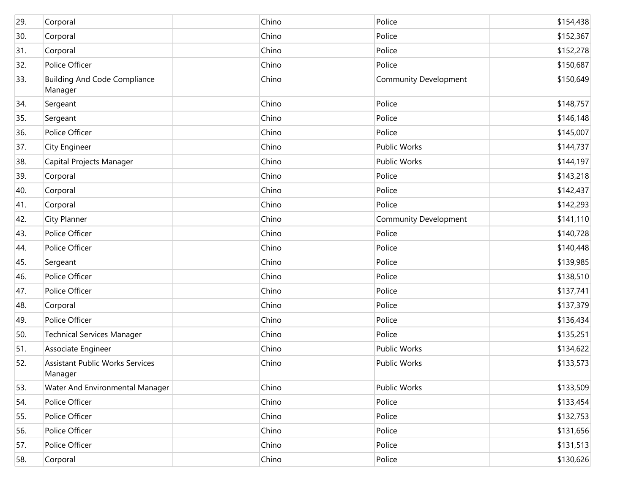| 29. | Corporal                                          | Chino | Police                       | \$154,438 |
|-----|---------------------------------------------------|-------|------------------------------|-----------|
| 30. | Corporal                                          | Chino | Police                       | \$152,367 |
| 31. | Corporal                                          | Chino | Police                       | \$152,278 |
| 32. | Police Officer                                    | Chino | Police                       | \$150,687 |
| 33. | <b>Building And Code Compliance</b><br>Manager    | Chino | <b>Community Development</b> | \$150,649 |
| 34. | Sergeant                                          | Chino | Police                       | \$148,757 |
| 35. | Sergeant                                          | Chino | Police                       | \$146,148 |
| 36. | Police Officer                                    | Chino | Police                       | \$145,007 |
| 37. | City Engineer                                     | Chino | Public Works                 | \$144,737 |
| 38. | Capital Projects Manager                          | Chino | Public Works                 | \$144,197 |
| 39. | Corporal                                          | Chino | Police                       | \$143,218 |
| 40. | Corporal                                          | Chino | Police                       | \$142,437 |
| 41. | Corporal                                          | Chino | Police                       | \$142,293 |
| 42. | <b>City Planner</b>                               | Chino | <b>Community Development</b> | \$141,110 |
| 43. | Police Officer                                    | Chino | Police                       | \$140,728 |
| 44. | Police Officer                                    | Chino | Police                       | \$140,448 |
| 45. | Sergeant                                          | Chino | Police                       | \$139,985 |
| 46. | Police Officer                                    | Chino | Police                       | \$138,510 |
| 47. | Police Officer                                    | Chino | Police                       | \$137,741 |
| 48. | Corporal                                          | Chino | Police                       | \$137,379 |
| 49. | Police Officer                                    | Chino | Police                       | \$136,434 |
| 50. | <b>Technical Services Manager</b>                 | Chino | Police                       | \$135,251 |
| 51. | Associate Engineer                                | Chino | Public Works                 | \$134,622 |
| 52. | <b>Assistant Public Works Services</b><br>Manager | Chino | Public Works                 | \$133,573 |
| 53. | Water And Environmental Manager                   | Chino | Public Works                 | \$133,509 |
| 54. | Police Officer                                    | Chino | Police                       | \$133,454 |
| 55. | Police Officer                                    | Chino | Police                       | \$132,753 |
| 56. | Police Officer                                    | Chino | Police                       | \$131,656 |
| 57. | Police Officer                                    | Chino | Police                       | \$131,513 |
| 58. | Corporal                                          | Chino | Police                       | \$130,626 |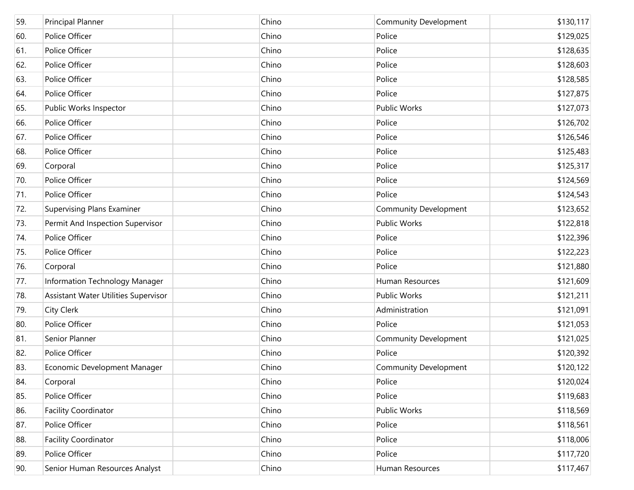| 59. | <b>Principal Planner</b>             | Chino | <b>Community Development</b> | \$130,117 |
|-----|--------------------------------------|-------|------------------------------|-----------|
| 60. | Police Officer                       | Chino | Police                       | \$129,025 |
| 61. | Police Officer                       | Chino | Police                       | \$128,635 |
| 62. | Police Officer                       | Chino | Police                       | \$128,603 |
| 63. | Police Officer                       | Chino | Police                       | \$128,585 |
| 64. | Police Officer                       | Chino | Police                       | \$127,875 |
| 65. | Public Works Inspector               | Chino | Public Works                 | \$127,073 |
| 66. | Police Officer                       | Chino | Police                       | \$126,702 |
| 67. | Police Officer                       | Chino | Police                       | \$126,546 |
| 68. | Police Officer                       | Chino | Police                       | \$125,483 |
| 69. | Corporal                             | Chino | Police                       | \$125,317 |
| 70. | Police Officer                       | Chino | Police                       | \$124,569 |
| 71. | Police Officer                       | Chino | Police                       | \$124,543 |
| 72. | <b>Supervising Plans Examiner</b>    | Chino | <b>Community Development</b> | \$123,652 |
| 73. | Permit And Inspection Supervisor     | Chino | Public Works                 | \$122,818 |
| 74. | Police Officer                       | Chino | Police                       | \$122,396 |
| 75. | Police Officer                       | Chino | Police                       | \$122,223 |
| 76. | Corporal                             | Chino | Police                       | \$121,880 |
| 77. | Information Technology Manager       | Chino | Human Resources              | \$121,609 |
| 78. | Assistant Water Utilities Supervisor | Chino | <b>Public Works</b>          | \$121,211 |
| 79. | <b>City Clerk</b>                    | Chino | Administration               | \$121,091 |
| 80. | Police Officer                       | Chino | Police                       | \$121,053 |
| 81. | Senior Planner                       | Chino | <b>Community Development</b> | \$121,025 |
| 82. | Police Officer                       | Chino | Police                       | \$120,392 |
| 83. | Economic Development Manager         | Chino | <b>Community Development</b> | \$120,122 |
| 84. | Corporal                             | Chino | Police                       | \$120,024 |
| 85. | Police Officer                       | Chino | Police                       | \$119,683 |
| 86. | <b>Facility Coordinator</b>          | Chino | Public Works                 | \$118,569 |
| 87. | Police Officer                       | Chino | Police                       | \$118,561 |
| 88. | <b>Facility Coordinator</b>          | Chino | Police                       | \$118,006 |
| 89. | Police Officer                       | Chino | Police                       | \$117,720 |
| 90. | Senior Human Resources Analyst       | Chino | Human Resources              | \$117,467 |